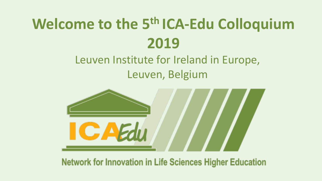# **Welcome to the 5th ICA-Edu Colloquium 2019**

# Leuven Institute for Ireland in Europe, Leuven, Belgium



**Network for Innovation in Life Sciences Higher Education**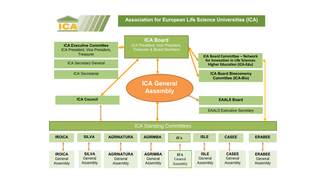

#### **Association for European Life Science Universities (ICA)**

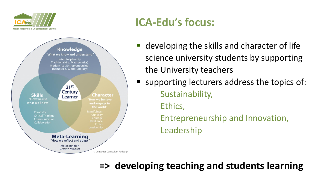



# **ICA-Edu's focus:**

- developing the skills and character of life science university students by supporting the University teachers
	- supporting lecturers address the topics of: Sustainability, Ethics, Entrepreneurship and Innovation, Leadership

## **=> developing teaching and students learning**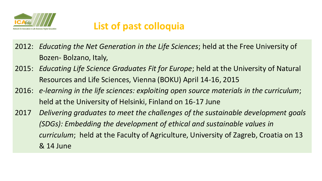

## **List of past colloquia**

- 2012: *Educating the Net Generation in the Life Sciences*; held at the Free University of Bozen- Bolzano, Italy,
- 2015: *Educating Life Science Graduates Fit for Europe*; held at the University of Natural Resources and Life Sciences, Vienna (BOKU) April 14-16, 2015
- 2016: *e-learning in the life sciences: exploiting open source materials in the curriculum*; held at the University of Helsinki, Finland on 16-17 June
- 2017 *Delivering graduates to meet the challenges of the sustainable development goals (SDGs): Embedding the development of ethical and sustainable values in curriculum*; held at the Faculty of Agriculture, University of Zagreb, Croatia on 13 & 14 June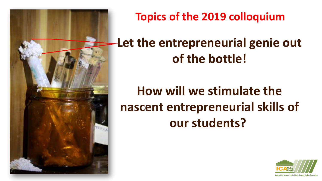

**Topics of the 2019 colloquium**

# **Let the entrepreneurial genie out of the bottle!**

# **How will we stimulate the nascent entrepreneurial skills of our students?**

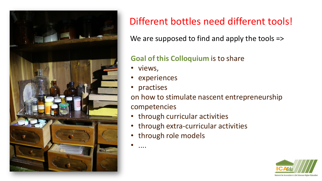

## Different bottles need different tools!

We are supposed to find and apply the tools =>

## **Goal of this Colloquium** is to share

- views,
- experiences
- practises

on how to stimulate nascent entrepreneurship competencies

- through curricular activities
- through extra-curricular activities
- through role models

• ....

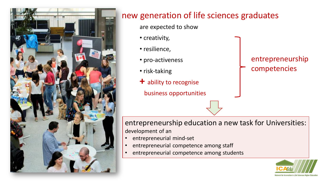

## new generation of life sciences graduates

are expected to show

- creativity,
- resilience,
- pro-activeness
- risk-taking
- **+** ability to recognise
	- business opportunities

### entrepreneurship competencies

entrepreneurship education a new task for Universities: development of an

- entrepreneurial mind-set
- entrepreneurial competence among staff
- entrepreneurial competence among students

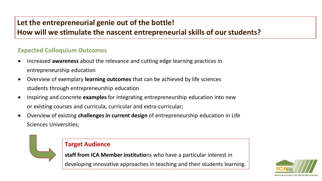### **Let the entrepreneurial genie out of the bottle!**

### **How will we stimulate the nascent entrepreneurial skills of our students?**

#### **Expected Colloquium Outcomes**

- Increased **awareness** about the relevance and cutting edge learning practices in entrepreneurship education
- Overview of exemplary **learning outcomes** that can be achieved by life sciences students through entrepreneurship education
- Inspiring and concrete **examples** for integrating entrepreneurship education into new or existing courses and curricula, curricular and extra-curricular;
- Overview of existing **challenges in current design** of entrepreneurship education in Life Sciences Universities;



#### **Target Audience**

**staff from ICA Member institutio**ns who have a particular interest in

developing innovative approaches in teaching and their students learning.

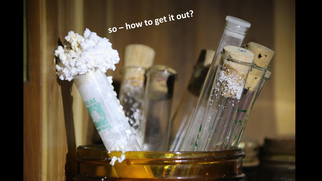